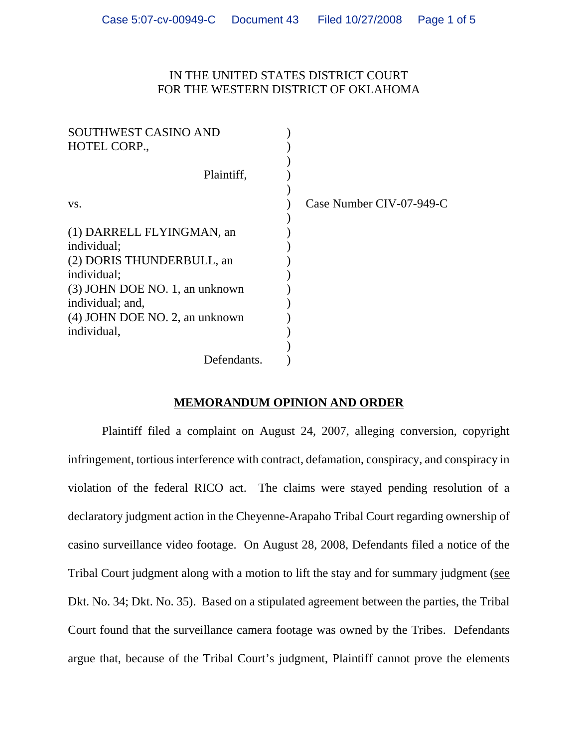## IN THE UNITED STATES DISTRICT COURT FOR THE WESTERN DISTRICT OF OKLAHOMA

| SOUTHWEST CASINO AND<br>HOTEL CORP., |                          |
|--------------------------------------|--------------------------|
|                                      |                          |
| Plaintiff,                           |                          |
|                                      |                          |
| VS.                                  | Case Number CIV-07-949-C |
|                                      |                          |
| (1) DARRELL FLYINGMAN, an            |                          |
| individual;                          |                          |
| (2) DORIS THUNDERBULL, an            |                          |
| individual;                          |                          |
| (3) JOHN DOE NO. 1, an unknown       |                          |
| individual; and,                     |                          |
| (4) JOHN DOE NO. 2, an unknown       |                          |
| individual,                          |                          |
|                                      |                          |
| Defendants.                          |                          |

## **MEMORANDUM OPINION AND ORDER**

Plaintiff filed a complaint on August 24, 2007, alleging conversion, copyright infringement, tortious interference with contract, defamation, conspiracy, and conspiracy in violation of the federal RICO act. The claims were stayed pending resolution of a declaratory judgment action in the Cheyenne-Arapaho Tribal Court regarding ownership of casino surveillance video footage. On August 28, 2008, Defendants filed a notice of the Tribal Court judgment along with a motion to lift the stay and for summary judgment (see Dkt. No. 34; Dkt. No. 35). Based on a stipulated agreement between the parties, the Tribal Court found that the surveillance camera footage was owned by the Tribes. Defendants argue that, because of the Tribal Court's judgment, Plaintiff cannot prove the elements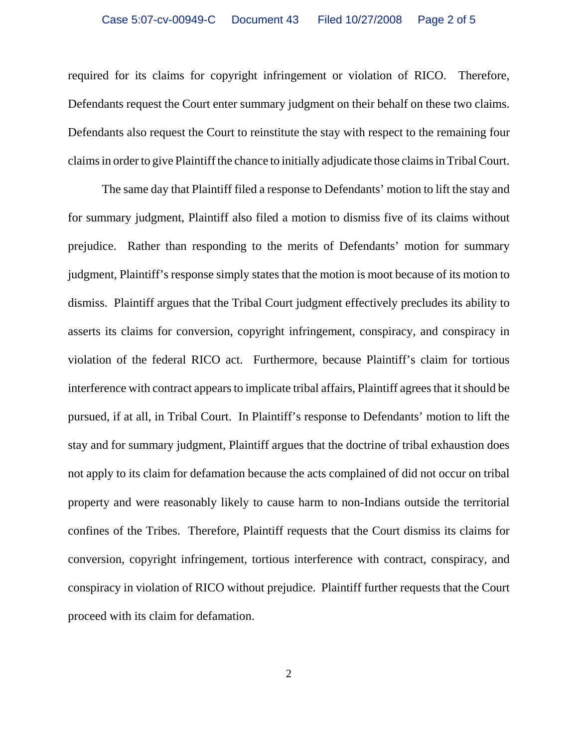required for its claims for copyright infringement or violation of RICO. Therefore, Defendants request the Court enter summary judgment on their behalf on these two claims. Defendants also request the Court to reinstitute the stay with respect to the remaining four claims in order to give Plaintiff the chance to initially adjudicate those claims in Tribal Court.

The same day that Plaintiff filed a response to Defendants' motion to lift the stay and for summary judgment, Plaintiff also filed a motion to dismiss five of its claims without prejudice. Rather than responding to the merits of Defendants' motion for summary judgment, Plaintiff's response simply states that the motion is moot because of its motion to dismiss. Plaintiff argues that the Tribal Court judgment effectively precludes its ability to asserts its claims for conversion, copyright infringement, conspiracy, and conspiracy in violation of the federal RICO act. Furthermore, because Plaintiff's claim for tortious interference with contract appears to implicate tribal affairs, Plaintiff agrees that it should be pursued, if at all, in Tribal Court. In Plaintiff's response to Defendants' motion to lift the stay and for summary judgment, Plaintiff argues that the doctrine of tribal exhaustion does not apply to its claim for defamation because the acts complained of did not occur on tribal property and were reasonably likely to cause harm to non-Indians outside the territorial confines of the Tribes. Therefore, Plaintiff requests that the Court dismiss its claims for conversion, copyright infringement, tortious interference with contract, conspiracy, and conspiracy in violation of RICO without prejudice. Plaintiff further requests that the Court proceed with its claim for defamation.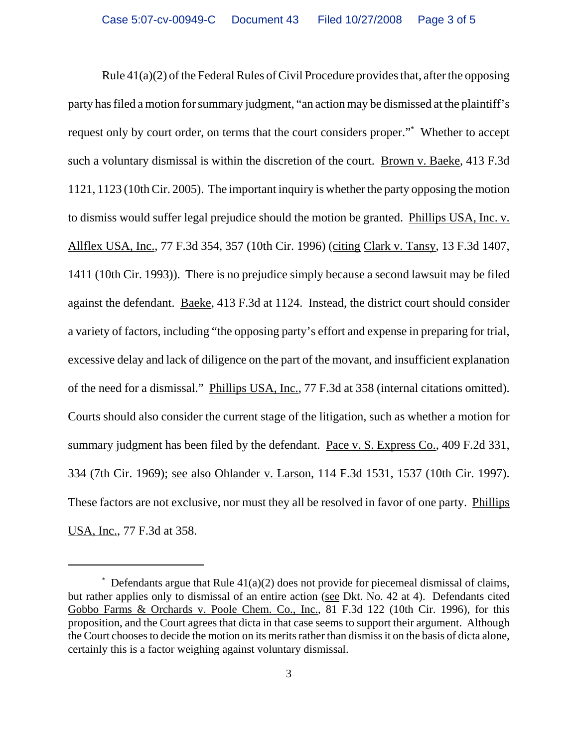Rule 41(a)(2) of the Federal Rules of Civil Procedure provides that, after the opposing party has filed a motion for summary judgment, "an action may be dismissed at the plaintiff's request only by court order, on terms that the court considers proper."\* Whether to accept such a voluntary dismissal is within the discretion of the court. Brown v. Baeke, 413 F.3d 1121, 1123 (10th Cir. 2005). The important inquiry is whether the party opposing the motion to dismiss would suffer legal prejudice should the motion be granted. Phillips USA, Inc. v. Allflex USA, Inc., 77 F.3d 354, 357 (10th Cir. 1996) (citing Clark v. Tansy, 13 F.3d 1407, 1411 (10th Cir. 1993)). There is no prejudice simply because a second lawsuit may be filed against the defendant. Baeke, 413 F.3d at 1124. Instead, the district court should consider a variety of factors, including "the opposing party's effort and expense in preparing for trial, excessive delay and lack of diligence on the part of the movant, and insufficient explanation of the need for a dismissal." Phillips USA, Inc., 77 F.3d at 358 (internal citations omitted). Courts should also consider the current stage of the litigation, such as whether a motion for summary judgment has been filed by the defendant. Pace v. S. Express Co., 409 F.2d 331, 334 (7th Cir. 1969); see also Ohlander v. Larson, 114 F.3d 1531, 1537 (10th Cir. 1997). These factors are not exclusive, nor must they all be resolved in favor of one party. Phillips USA, Inc., 77 F.3d at 358.

<sup>\*</sup> Defendants argue that Rule 41(a)(2) does not provide for piecemeal dismissal of claims, but rather applies only to dismissal of an entire action (see Dkt. No. 42 at 4). Defendants cited Gobbo Farms & Orchards v. Poole Chem. Co., Inc., 81 F.3d 122 (10th Cir. 1996), for this proposition, and the Court agrees that dicta in that case seems to support their argument. Although the Court chooses to decide the motion on its merits rather than dismiss it on the basis of dicta alone, certainly this is a factor weighing against voluntary dismissal.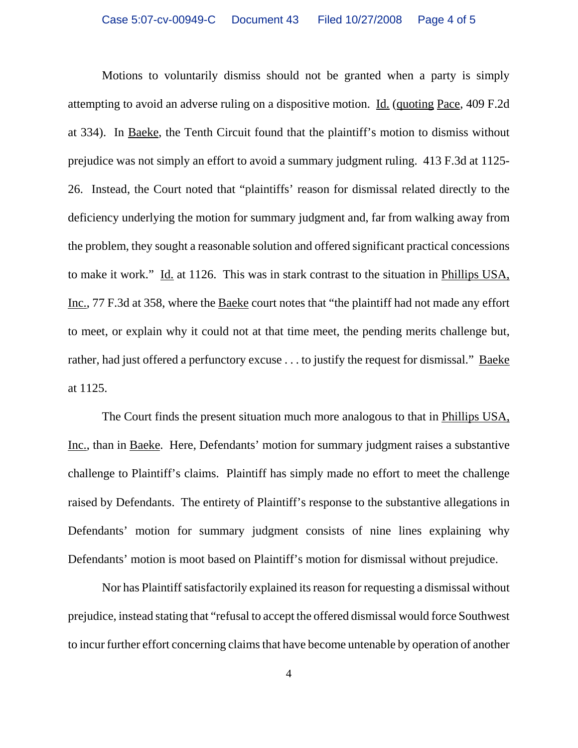Motions to voluntarily dismiss should not be granted when a party is simply attempting to avoid an adverse ruling on a dispositive motion. Id. (quoting Pace, 409 F.2d at 334). In Baeke, the Tenth Circuit found that the plaintiff's motion to dismiss without prejudice was not simply an effort to avoid a summary judgment ruling. 413 F.3d at 1125- 26. Instead, the Court noted that "plaintiffs' reason for dismissal related directly to the deficiency underlying the motion for summary judgment and, far from walking away from the problem, they sought a reasonable solution and offered significant practical concessions to make it work." Id. at 1126. This was in stark contrast to the situation in Phillips USA, Inc., 77 F.3d at 358, where the Baeke court notes that "the plaintiff had not made any effort to meet, or explain why it could not at that time meet, the pending merits challenge but, rather, had just offered a perfunctory excuse . . . to justify the request for dismissal." Baeke at 1125.

The Court finds the present situation much more analogous to that in Phillips USA, Inc., than in Baeke. Here, Defendants' motion for summary judgment raises a substantive challenge to Plaintiff's claims. Plaintiff has simply made no effort to meet the challenge raised by Defendants. The entirety of Plaintiff's response to the substantive allegations in Defendants' motion for summary judgment consists of nine lines explaining why Defendants' motion is moot based on Plaintiff's motion for dismissal without prejudice.

Nor has Plaintiff satisfactorily explained its reason for requesting a dismissal without prejudice, instead stating that "refusal to accept the offered dismissal would force Southwest to incur further effort concerning claims that have become untenable by operation of another